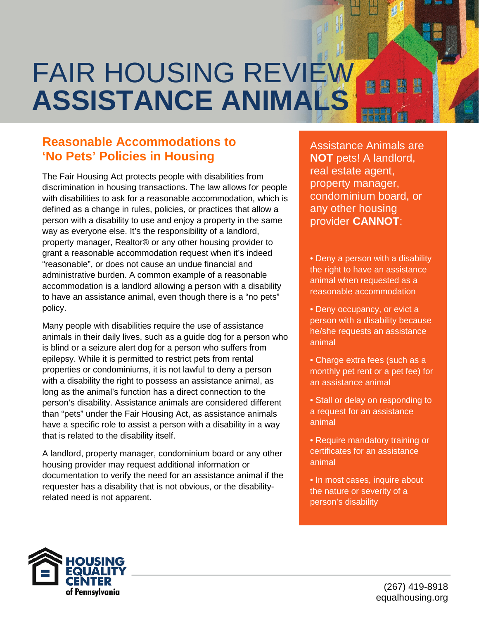## FAIR HOUSING REVIEW **ASSISTANCE ANIMALS**

## **Reasonable Accommodations to 'No Pets' Policies in Housing**

The Fair Housing Act protects people with disabilities from discrimination in housing transactions. The law allows for people with disabilities to ask for a reasonable accommodation, which is defined as a change in rules, policies, or practices that allow a person with a disability to use and enjoy a property in the same way as everyone else. It's the responsibility of a landlord, property manager, Realtor® or any other housing provider to grant a reasonable accommodation request when it's indeed "reasonable", or does not cause an undue financial and administrative burden. A common example of a reasonable accommodation is a landlord allowing a person with a disability to have an assistance animal, even though there is a "no pets" policy.

Many people with disabilities require the use of assistance animals in their daily lives, such as a guide dog for a person who is blind or a seizure alert dog for a person who suffers from epilepsy. While it is permitted to restrict pets from rental properties or condominiums, it is not lawful to deny a person with a disability the right to possess an assistance animal, as long as the animal's function has a direct connection to the person's disability. Assistance animals are considered different than "pets" under the Fair Housing Act, as assistance animals have a specific role to assist a person with a disability in a way that is related to the disability itself.

A landlord, property manager, condominium board or any other housing provider may request additional information or documentation to verify the need for an assistance animal if the requester has a disability that is not obvious, or the disabilityrelated need is not apparent.

Assistance Animals are **NOT** pets! A landlord, real estate agent, property manager, condominium board, or any other housing provider **CANNOT**:

• Deny a person with a disability the right to have an assistance animal when requested as a reasonable accommodation

• Deny occupancy, or evict a person with a disability because he/she requests an assistance animal

• Charge extra fees (such as a monthly pet rent or a pet fee) for an assistance animal

• Stall or delay on responding to a request for an assistance animal

• Require mandatory training or certificates for an assistance animal

• In most cases, inquire about the nature or severity of a person's disability